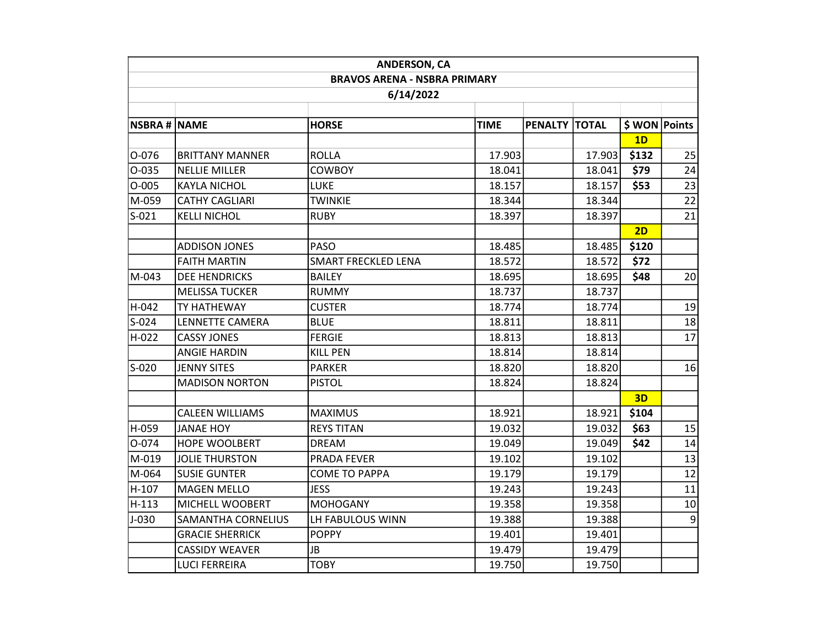| <b>ANDERSON, CA</b>                 |                           |                            |             |               |        |                 |    |  |  |  |  |  |
|-------------------------------------|---------------------------|----------------------------|-------------|---------------|--------|-----------------|----|--|--|--|--|--|
| <b>BRAVOS ARENA - NSBRA PRIMARY</b> |                           |                            |             |               |        |                 |    |  |  |  |  |  |
| 6/14/2022                           |                           |                            |             |               |        |                 |    |  |  |  |  |  |
|                                     |                           |                            |             |               |        |                 |    |  |  |  |  |  |
| <b>NSBRA # NAME</b>                 |                           | <b>HORSE</b>               | <b>TIME</b> | PENALTY TOTAL |        | \$ WON   Points |    |  |  |  |  |  |
|                                     |                           |                            |             |               |        | 1D              |    |  |  |  |  |  |
| 0-076                               | <b>BRITTANY MANNER</b>    | <b>ROLLA</b>               | 17.903      |               | 17.903 | \$132           | 25 |  |  |  |  |  |
| 0-035                               | <b>NELLIE MILLER</b>      | <b>COWBOY</b>              | 18.041      |               | 18.041 | \$79            | 24 |  |  |  |  |  |
| $O-005$                             | <b>KAYLA NICHOL</b>       | <b>LUKE</b>                | 18.157      |               | 18.157 | \$53            | 23 |  |  |  |  |  |
| M-059                               | <b>CATHY CAGLIARI</b>     | <b>TWINKIE</b>             | 18.344      |               | 18.344 |                 | 22 |  |  |  |  |  |
| $S-021$                             | <b>KELLI NICHOL</b>       | <b>RUBY</b>                | 18.397      |               | 18.397 |                 | 21 |  |  |  |  |  |
|                                     |                           |                            |             |               |        | 2D              |    |  |  |  |  |  |
|                                     | <b>ADDISON JONES</b>      | <b>PASO</b>                | 18.485      |               | 18.485 | \$120           |    |  |  |  |  |  |
|                                     | <b>FAITH MARTIN</b>       | <b>SMART FRECKLED LENA</b> | 18.572      |               | 18.572 | \$72            |    |  |  |  |  |  |
| M-043                               | <b>DEE HENDRICKS</b>      | <b>BAILEY</b>              | 18.695      |               | 18.695 | \$48            | 20 |  |  |  |  |  |
|                                     | <b>MELISSA TUCKER</b>     | <b>RUMMY</b>               | 18.737      |               | 18.737 |                 |    |  |  |  |  |  |
| H-042                               | TY HATHEWAY               | <b>CUSTER</b>              | 18.774      |               | 18.774 |                 | 19 |  |  |  |  |  |
| $S-024$                             | LENNETTE CAMERA           | <b>BLUE</b>                | 18.811      |               | 18.811 |                 | 18 |  |  |  |  |  |
| H-022                               | <b>CASSY JONES</b>        | <b>FERGIE</b>              | 18.813      |               | 18.813 |                 | 17 |  |  |  |  |  |
|                                     | <b>ANGIE HARDIN</b>       | <b>KILL PEN</b>            | 18.814      |               | 18.814 |                 |    |  |  |  |  |  |
| $S-020$                             | <b>JENNY SITES</b>        | <b>PARKER</b>              | 18.820      |               | 18.820 |                 | 16 |  |  |  |  |  |
|                                     | <b>MADISON NORTON</b>     | <b>PISTOL</b>              | 18.824      |               | 18.824 |                 |    |  |  |  |  |  |
|                                     |                           |                            |             |               |        | 3D              |    |  |  |  |  |  |
|                                     | <b>CALEEN WILLIAMS</b>    | <b>MAXIMUS</b>             | 18.921      |               | 18.921 | \$104           |    |  |  |  |  |  |
| H-059                               | <b>JANAE HOY</b>          | <b>REYS TITAN</b>          | 19.032      |               | 19.032 | \$63            | 15 |  |  |  |  |  |
| 0-074                               | <b>HOPE WOOLBERT</b>      | <b>DREAM</b>               | 19.049      |               | 19.049 | \$42            | 14 |  |  |  |  |  |
| M-019                               | <b>JOLIE THURSTON</b>     | PRADA FEVER                | 19.102      |               | 19.102 |                 | 13 |  |  |  |  |  |
| M-064                               | <b>SUSIE GUNTER</b>       | <b>COME TO PAPPA</b>       | 19.179      |               | 19.179 |                 | 12 |  |  |  |  |  |
| H-107                               | <b>MAGEN MELLO</b>        | <b>JESS</b>                | 19.243      |               | 19.243 |                 | 11 |  |  |  |  |  |
| $H-113$                             | MICHELL WOOBERT           | <b>MOHOGANY</b>            | 19.358      |               | 19.358 |                 | 10 |  |  |  |  |  |
| $J-030$                             | <b>SAMANTHA CORNELIUS</b> | LH FABULOUS WINN           | 19.388      |               | 19.388 |                 | 9  |  |  |  |  |  |
|                                     | <b>GRACIE SHERRICK</b>    | <b>POPPY</b>               | 19.401      |               | 19.401 |                 |    |  |  |  |  |  |
|                                     | <b>CASSIDY WEAVER</b>     | <b>JB</b>                  | 19.479      |               | 19.479 |                 |    |  |  |  |  |  |
|                                     | <b>LUCI FERREIRA</b>      | <b>TOBY</b>                | 19.750      |               | 19.750 |                 |    |  |  |  |  |  |